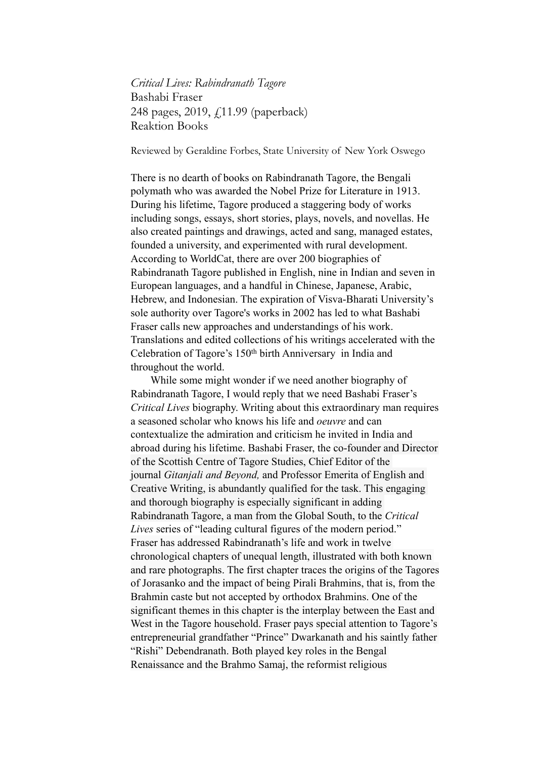*Critical Lives: Rabindranath Tagore*  Bashabi Fraser 248 pages, 2019, £11.99 (paperback) Reaktion Books

Reviewed by Geraldine Forbes, State University of New York Oswego

There is no dearth of books on Rabindranath Tagore, the Bengali polymath who was awarded the Nobel Prize for Literature in 1913. During his lifetime, Tagore produced a staggering body of works including songs, essays, short stories, plays, novels, and novellas. He also created paintings and drawings, acted and sang, managed estates, founded a university, and experimented with rural development. According to WorldCat, there are over 200 biographies of Rabindranath Tagore published in English, nine in Indian and seven in European languages, and a handful in Chinese, Japanese, Arabic, Hebrew, and Indonesian. The expiration of Visva-Bharati University's sole authority over Tagore's works in 2002 has led to what Bashabi Fraser calls new approaches and understandings of his work. Translations and edited collections of his writings accelerated with the Celebration of Tagore's 150th birth Anniversary in India and throughout the world.

While some might wonder if we need another biography of Rabindranath Tagore, I would reply that we need Bashabi Fraser's *Critical Lives* biography. Writing about this extraordinary man requires a seasoned scholar who knows his life and *oeuvre* and can contextualize the admiration and criticism he invited in India and abroad during his lifetime. Bashabi Fraser, the co-founder and Director of the Scottish Centre of Tagore Studies, Chief Editor of the journal *Gitanjali and Beyond,* and Professor Emerita of English and Creative Writing, is abundantly qualified for the task. This engaging and thorough biography is especially significant in adding Rabindranath Tagore, a man from the Global South, to the *Critical Lives* series of "leading cultural figures of the modern period." Fraser has addressed Rabindranath's life and work in twelve chronological chapters of unequal length, illustrated with both known and rare photographs. The first chapter traces the origins of the Tagores of Jorasanko and the impact of being Pirali Brahmins, that is, from the Brahmin caste but not accepted by orthodox Brahmins. One of the significant themes in this chapter is the interplay between the East and West in the Tagore household. Fraser pays special attention to Tagore's entrepreneurial grandfather "Prince" Dwarkanath and his saintly father "Rishi" Debendranath. Both played key roles in the Bengal Renaissance and the Brahmo Samaj, the reformist religious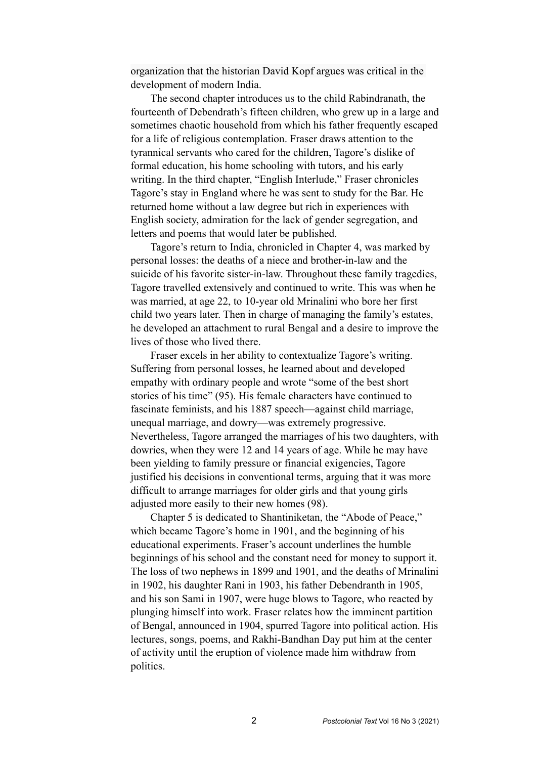organization that the historian David Kopf argues was critical in the development of modern India.

The second chapter introduces us to the child Rabindranath, the fourteenth of Debendrath's fifteen children, who grew up in a large and sometimes chaotic household from which his father frequently escaped for a life of religious contemplation. Fraser draws attention to the tyrannical servants who cared for the children, Tagore's dislike of formal education, his home schooling with tutors, and his early writing. In the third chapter, "English Interlude," Fraser chronicles Tagore's stay in England where he was sent to study for the Bar. He returned home without a law degree but rich in experiences with English society, admiration for the lack of gender segregation, and letters and poems that would later be published.

Tagore's return to India, chronicled in Chapter 4, was marked by personal losses: the deaths of a niece and brother-in-law and the suicide of his favorite sister-in-law. Throughout these family tragedies, Tagore travelled extensively and continued to write. This was when he was married, at age 22, to 10-year old Mrinalini who bore her first child two years later. Then in charge of managing the family's estates, he developed an attachment to rural Bengal and a desire to improve the lives of those who lived there.

Fraser excels in her ability to contextualize Tagore's writing. Suffering from personal losses, he learned about and developed empathy with ordinary people and wrote "some of the best short stories of his time" (95). His female characters have continued to fascinate feminists, and his 1887 speech—against child marriage, unequal marriage, and dowry—was extremely progressive. Nevertheless, Tagore arranged the marriages of his two daughters, with dowries, when they were 12 and 14 years of age. While he may have been yielding to family pressure or financial exigencies, Tagore justified his decisions in conventional terms, arguing that it was more difficult to arrange marriages for older girls and that young girls adjusted more easily to their new homes (98).

Chapter 5 is dedicated to Shantiniketan, the "Abode of Peace," which became Tagore's home in 1901, and the beginning of his educational experiments. Fraser's account underlines the humble beginnings of his school and the constant need for money to support it. The loss of two nephews in 1899 and 1901, and the deaths of Mrinalini in 1902, his daughter Rani in 1903, his father Debendranth in 1905, and his son Sami in 1907, were huge blows to Tagore, who reacted by plunging himself into work. Fraser relates how the imminent partition of Bengal, announced in 1904, spurred Tagore into political action. His lectures, songs, poems, and Rakhi-Bandhan Day put him at the center of activity until the eruption of violence made him withdraw from politics.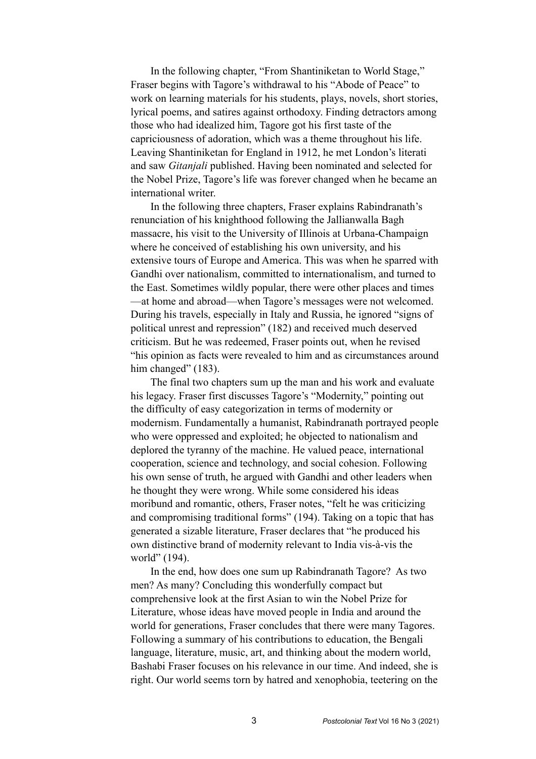In the following chapter, "From Shantiniketan to World Stage," Fraser begins with Tagore's withdrawal to his "Abode of Peace" to work on learning materials for his students, plays, novels, short stories, lyrical poems, and satires against orthodoxy. Finding detractors among those who had idealized him, Tagore got his first taste of the capriciousness of adoration, which was a theme throughout his life. Leaving Shantiniketan for England in 1912, he met London's literati and saw *Gitanjali* published. Having been nominated and selected for the Nobel Prize, Tagore's life was forever changed when he became an international writer.

In the following three chapters, Fraser explains Rabindranath's renunciation of his knighthood following the Jallianwalla Bagh massacre, his visit to the University of Illinois at Urbana-Champaign where he conceived of establishing his own university, and his extensive tours of Europe and America. This was when he sparred with Gandhi over nationalism, committed to internationalism, and turned to the East. Sometimes wildly popular, there were other places and times —at home and abroad—when Tagore's messages were not welcomed. During his travels, especially in Italy and Russia, he ignored "signs of political unrest and repression" (182) and received much deserved criticism. But he was redeemed, Fraser points out, when he revised "his opinion as facts were revealed to him and as circumstances around him changed" (183).

The final two chapters sum up the man and his work and evaluate his legacy. Fraser first discusses Tagore's "Modernity," pointing out the difficulty of easy categorization in terms of modernity or modernism. Fundamentally a humanist, Rabindranath portrayed people who were oppressed and exploited; he objected to nationalism and deplored the tyranny of the machine. He valued peace, international cooperation, science and technology, and social cohesion. Following his own sense of truth, he argued with Gandhi and other leaders when he thought they were wrong. While some considered his ideas moribund and romantic, others, Fraser notes, "felt he was criticizing and compromising traditional forms" (194). Taking on a topic that has generated a sizable literature, Fraser declares that "he produced his own distinctive brand of modernity relevant to India vis-à-vis the world" (194).

In the end, how does one sum up Rabindranath Tagore? As two men? As many? Concluding this wonderfully compact but comprehensive look at the first Asian to win the Nobel Prize for Literature, whose ideas have moved people in India and around the world for generations, Fraser concludes that there were many Tagores. Following a summary of his contributions to education, the Bengali language, literature, music, art, and thinking about the modern world, Bashabi Fraser focuses on his relevance in our time. And indeed, she is right. Our world seems torn by hatred and xenophobia, teetering on the